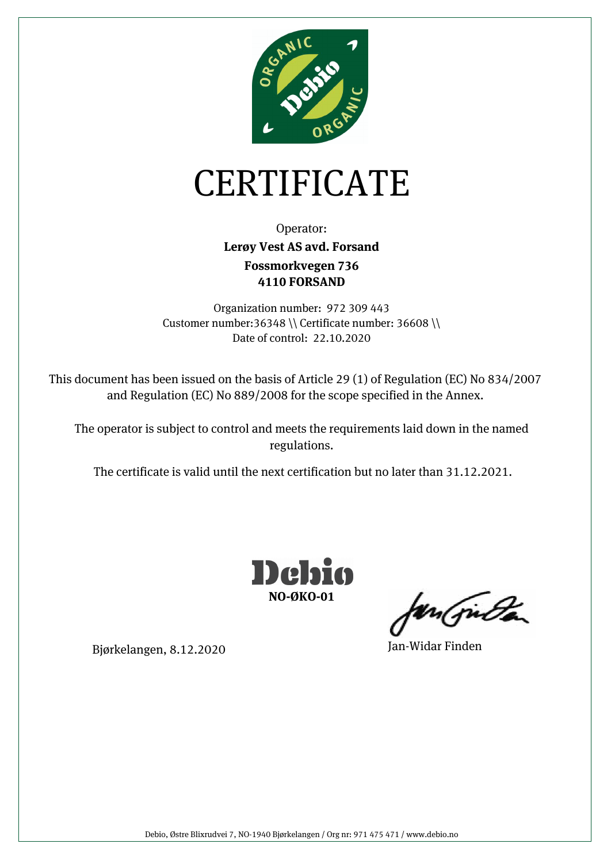

## CERTIFICATE

Operator: **Fossmorkvegen 736 4110 FORSAND Lerøy Vest AS avd. Forsand** 

Organization number: 972 309 443 Customer number:36348 \\ Certificate number: 36608 \\ Date of control: 22.10.2020

This document has been issued on the basis of Article 29 (1) of Regulation (EC) No 834/2007 and Regulation (EC) No 889/2008 for the scope specified in the Annex.

The operator is subject to control and meets the requirements laid down in the named regulations.

The certificate is valid until the next certification but no later than 31.12.2021.



un (juda

Bjørkelangen, 8.12.2020 Jan-Widar Finden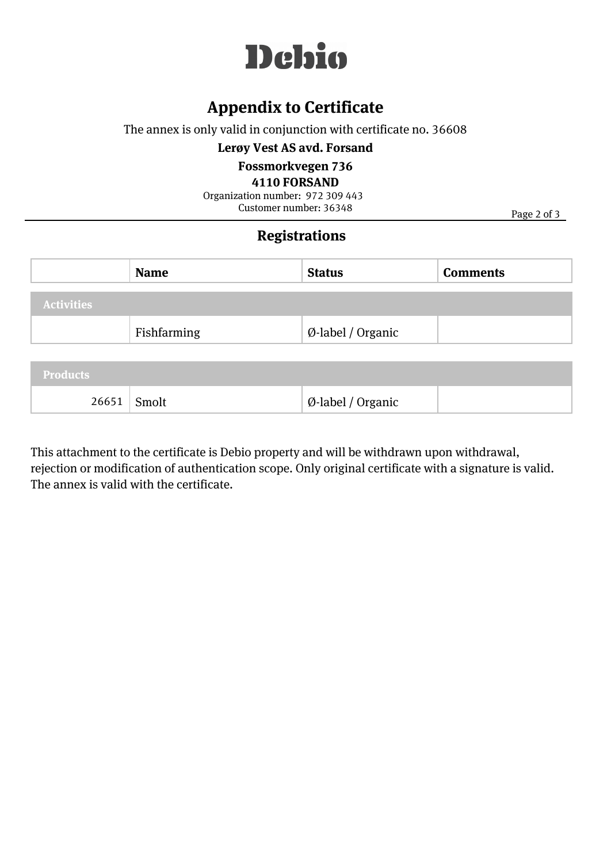

### **Appendix to Certificate**

The annex is only valid in conjunction with certificate no. 36608

**Lerøy Vest AS avd. Forsand** 

#### **Fossmorkvegen 736**

**4110 FORSAND**

Customer number: 36348 Organization number: 972 309 443

Page 2 of 3

#### **Registrations**

|                   | <b>Name</b> | <b>Status</b>                | <b>Comments</b> |
|-------------------|-------------|------------------------------|-----------------|
| <b>Activities</b> |             |                              |                 |
|                   | Fishfarming | $\emptyset$ -label / Organic |                 |
| The Association   |             |                              |                 |

| Products |       |                   |  |  |
|----------|-------|-------------------|--|--|
| 26651    | Smolt | Ø-label / Organic |  |  |

This attachment to the certificate is Debio property and will be withdrawn upon withdrawal, rejection or modification of authentication scope. Only original certificate with a signature is valid. The annex is valid with the certificate.